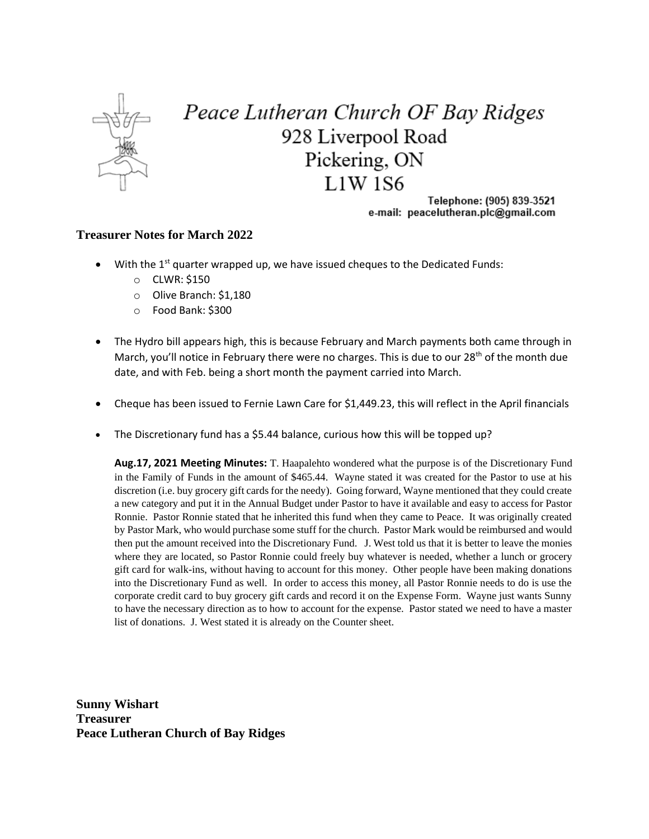

## Peace Lutheran Church OF Bay Ridges 928 Liverpool Road Pickering, ON  $L1W$  1S6

Telephone: (905) 839-3521 e-mail: peacelutheran.plc@gmail.com

## **Treasurer Notes for March 2022**

- $\bullet$  With the 1<sup>st</sup> quarter wrapped up, we have issued cheques to the Dedicated Funds:
	- o CLWR: \$150
	- o Olive Branch: \$1,180
	- o Food Bank: \$300
- The Hydro bill appears high, this is because February and March payments both came through in March, you'll notice in February there were no charges. This is due to our 28<sup>th</sup> of the month due date, and with Feb. being a short month the payment carried into March.
- Cheque has been issued to Fernie Lawn Care for \$1,449.23, this will reflect in the April financials
- The Discretionary fund has a \$5.44 balance, curious how this will be topped up?

**Aug.17, 2021 Meeting Minutes:** T. Haapalehto wondered what the purpose is of the Discretionary Fund in the Family of Funds in the amount of \$465.44. Wayne stated it was created for the Pastor to use at his discretion (i.e. buy grocery gift cards for the needy). Going forward, Wayne mentioned that they could create a new category and put it in the Annual Budget under Pastor to have it available and easy to access for Pastor Ronnie. Pastor Ronnie stated that he inherited this fund when they came to Peace. It was originally created by Pastor Mark, who would purchase some stuff for the church. Pastor Mark would be reimbursed and would then put the amount received into the Discretionary Fund. J. West told us that it is better to leave the monies where they are located, so Pastor Ronnie could freely buy whatever is needed, whether a lunch or grocery gift card for walk-ins, without having to account for this money. Other people have been making donations into the Discretionary Fund as well. In order to access this money, all Pastor Ronnie needs to do is use the corporate credit card to buy grocery gift cards and record it on the Expense Form. Wayne just wants Sunny to have the necessary direction as to how to account for the expense. Pastor stated we need to have a master list of donations. J. West stated it is already on the Counter sheet.

**Sunny Wishart Treasurer Peace Lutheran Church of Bay Ridges**